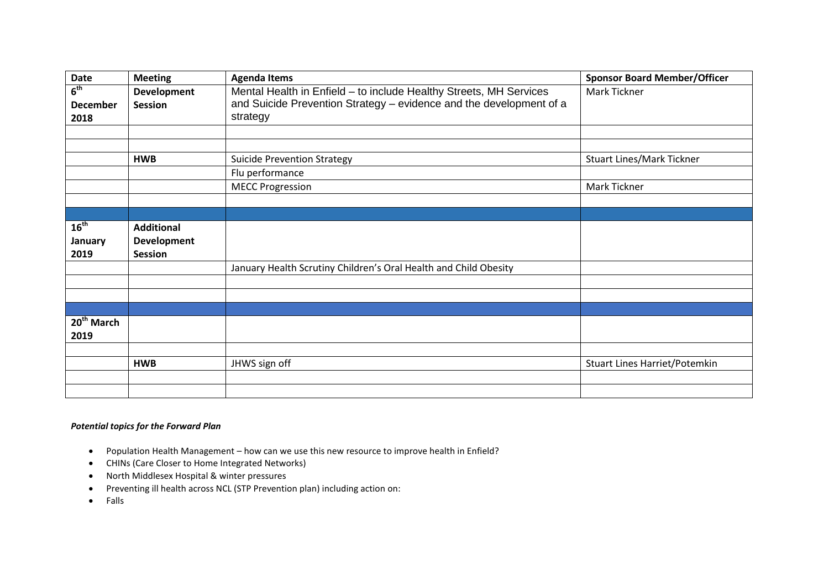| Date                                       | <b>Meeting</b>                       | <b>Agenda Items</b>                                                                                                                                   | <b>Sponsor Board Member/Officer</b>  |
|--------------------------------------------|--------------------------------------|-------------------------------------------------------------------------------------------------------------------------------------------------------|--------------------------------------|
| 6 <sup>th</sup><br><b>December</b><br>2018 | <b>Development</b><br><b>Session</b> | Mental Health in Enfield - to include Healthy Streets, MH Services<br>and Suicide Prevention Strategy - evidence and the development of a<br>strategy | Mark Tickner                         |
|                                            |                                      |                                                                                                                                                       |                                      |
|                                            |                                      |                                                                                                                                                       |                                      |
|                                            | <b>HWB</b>                           | <b>Suicide Prevention Strategy</b>                                                                                                                    | <b>Stuart Lines/Mark Tickner</b>     |
|                                            |                                      | Flu performance                                                                                                                                       |                                      |
|                                            |                                      | <b>MECC Progression</b>                                                                                                                               | Mark Tickner                         |
|                                            |                                      |                                                                                                                                                       |                                      |
|                                            |                                      |                                                                                                                                                       |                                      |
| 16 <sup>th</sup>                           | <b>Additional</b>                    |                                                                                                                                                       |                                      |
| <b>January</b>                             | <b>Development</b>                   |                                                                                                                                                       |                                      |
| 2019                                       | <b>Session</b>                       |                                                                                                                                                       |                                      |
|                                            |                                      | January Health Scrutiny Children's Oral Health and Child Obesity                                                                                      |                                      |
|                                            |                                      |                                                                                                                                                       |                                      |
|                                            |                                      |                                                                                                                                                       |                                      |
|                                            |                                      |                                                                                                                                                       |                                      |
| 20 <sup>th</sup> March<br>2019             |                                      |                                                                                                                                                       |                                      |
|                                            |                                      |                                                                                                                                                       |                                      |
|                                            | <b>HWB</b>                           | JHWS sign off                                                                                                                                         | <b>Stuart Lines Harriet/Potemkin</b> |
|                                            |                                      |                                                                                                                                                       |                                      |
|                                            |                                      |                                                                                                                                                       |                                      |

## *Potential topics for the Forward Plan*

- Population Health Management how can we use this new resource to improve health in Enfield?
- CHINs (Care Closer to Home Integrated Networks)
- North Middlesex Hospital & winter pressures
- Preventing ill health across NCL (STP Prevention plan) including action on:
- Falls